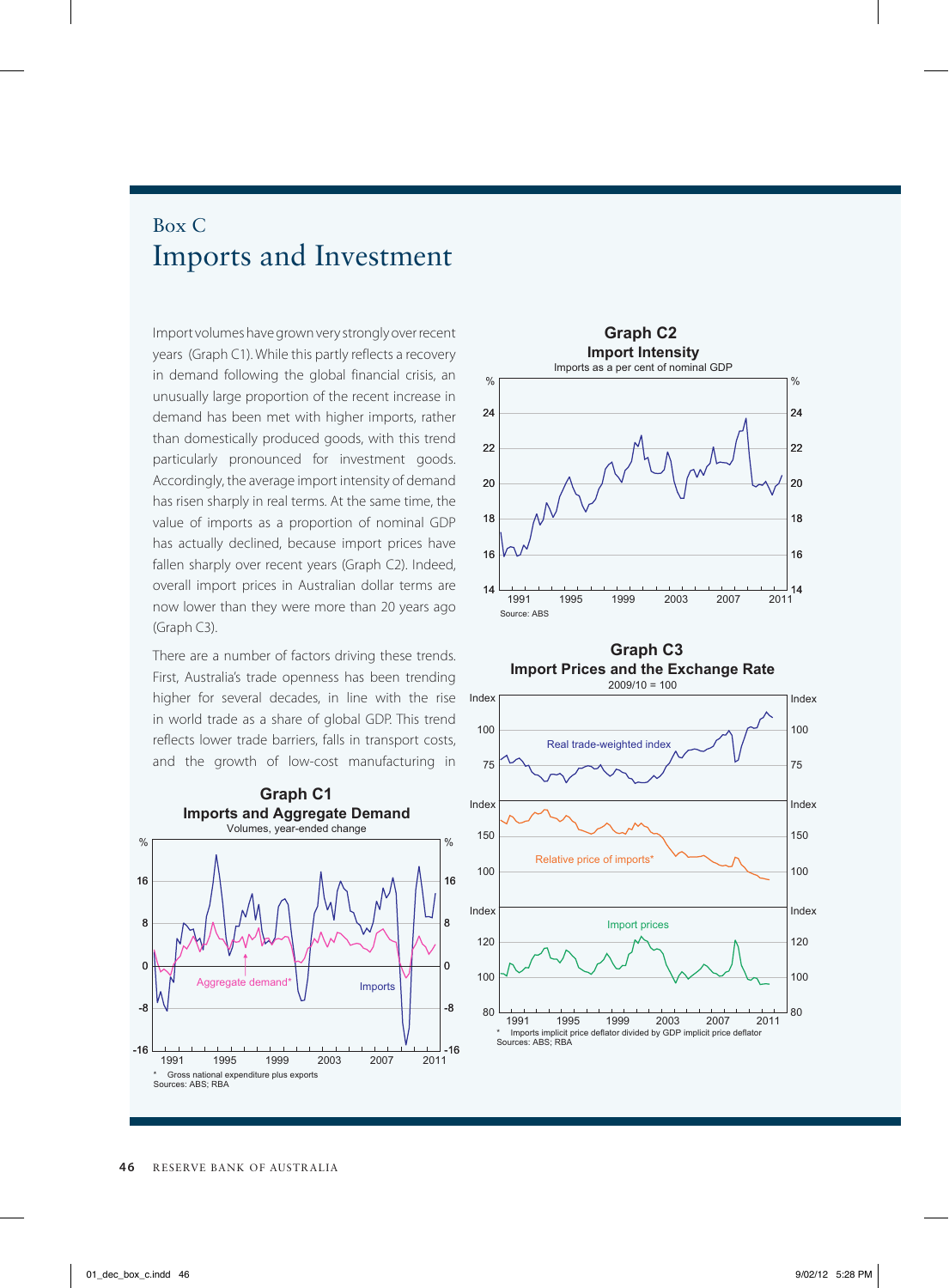## Box C Imports and Investment

Import volumes have grown very strongly over recent years (Graph C1). While this partly reflects a recovery in demand following the global financial crisis, an unusually large proportion of the recent increase in demand has been met with higher imports, rather than domestically produced goods, with this trend particularly pronounced for investment goods. Accordingly, the average import intensity of demand has risen sharply in real terms. At the same time, the value of imports as a proportion of nominal GDP has actually declined, because import prices have fallen sharply over recent years (Graph C2). Indeed, overall import prices in Australian dollar terms are now lower than they were more than 20 years ago (Graph C3).

There are a number of factors driving these trends. First, Australia's trade openness has been trending higher for several decades, in line with the rise in world trade as a share of global GDP. This trend reflects lower trade barriers, falls in transport costs, and the growth of low-cost manufacturing in





**Graph C3 Import Prices and the Exchange Rate**